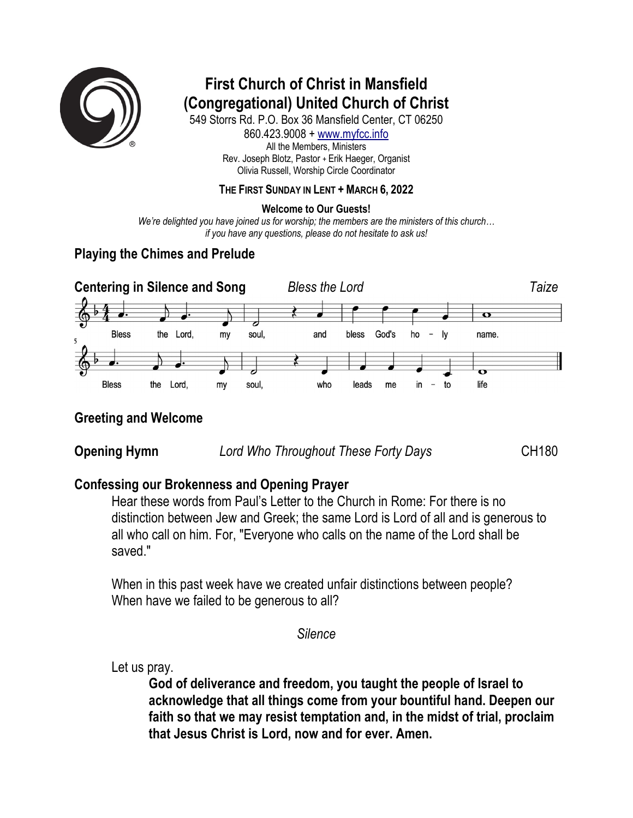

# **First Church of Christ in Mansfield (Congregational) United Church of Christ**

549 Storrs Rd. P.O. Box 36 Mansfield Center, CT 06250 860.423.9008 + www.myfcc.info All the Members, Ministers Rev. Joseph Blotz, Pastor + Erik Haeger, Organist Olivia Russell, Worship Circle Coordinator

### **THE FIRST SUNDAY IN LENT + MARCH 6, 2022**

### **Welcome to Our Guests!**

*We're delighted you have joined us for worship; the members are the ministers of this church… if you have any questions, please do not hesitate to ask us!*

### **Playing the Chimes and Prelude**



### **Greeting and Welcome**

**Opening Hymn** *Lord Who Throughout These Forty Days* **CH180** 

### **Confessing our Brokenness and Opening Prayer**

Hear these words from Paul's Letter to the Church in Rome: For there is no distinction between Jew and Greek; the same Lord is Lord of all and is generous to all who call on him. For, "Everyone who calls on the name of the Lord shall be saved."

When in this past week have we created unfair distinctions between people? When have we failed to be generous to all?

*Silence*

Let us pray.

**God of deliverance and freedom, you taught the people of Israel to acknowledge that all things come from your bountiful hand. Deepen our faith so that we may resist temptation and, in the midst of trial, proclaim that Jesus Christ is Lord, now and for ever. Amen.**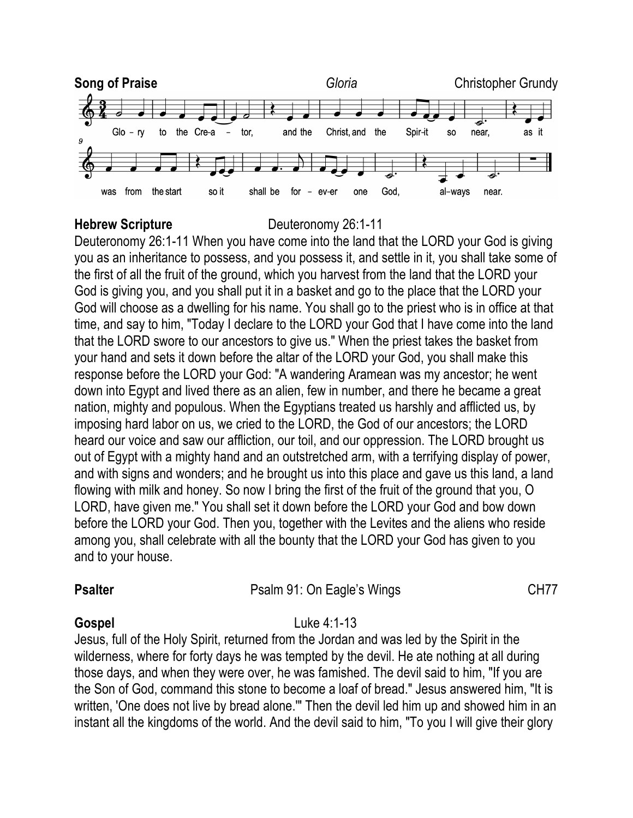

### **Hebrew Scripture** Deuteronomy 26:1-11

Deuteronomy 26:1-11 When you have come into the land that the LORD your God is giving you as an inheritance to possess, and you possess it, and settle in it, you shall take some of the first of all the fruit of the ground, which you harvest from the land that the LORD your God is giving you, and you shall put it in a basket and go to the place that the LORD your God will choose as a dwelling for his name. You shall go to the priest who is in office at that time, and say to him, "Today I declare to the LORD your God that I have come into the land that the LORD swore to our ancestors to give us." When the priest takes the basket from your hand and sets it down before the altar of the LORD your God, you shall make this response before the LORD your God: "A wandering Aramean was my ancestor; he went down into Egypt and lived there as an alien, few in number, and there he became a great nation, mighty and populous. When the Egyptians treated us harshly and afflicted us, by imposing hard labor on us, we cried to the LORD, the God of our ancestors; the LORD heard our voice and saw our affliction, our toil, and our oppression. The LORD brought us out of Egypt with a mighty hand and an outstretched arm, with a terrifying display of power, and with signs and wonders; and he brought us into this place and gave us this land, a land flowing with milk and honey. So now I bring the first of the fruit of the ground that you, O LORD, have given me." You shall set it down before the LORD your God and bow down before the LORD your God. Then you, together with the Levites and the aliens who reside among you, shall celebrate with all the bounty that the LORD your God has given to you and to your house.

# **Psalter** Psalm 91: On Eagle's Wings CH77

### **Gospel** Luke 4:1-13

Jesus, full of the Holy Spirit, returned from the Jordan and was led by the Spirit in the wilderness, where for forty days he was tempted by the devil. He ate nothing at all during those days, and when they were over, he was famished. The devil said to him, "If you are the Son of God, command this stone to become a loaf of bread." Jesus answered him, "It is written, 'One does not live by bread alone.'" Then the devil led him up and showed him in an instant all the kingdoms of the world. And the devil said to him, "To you I will give their glory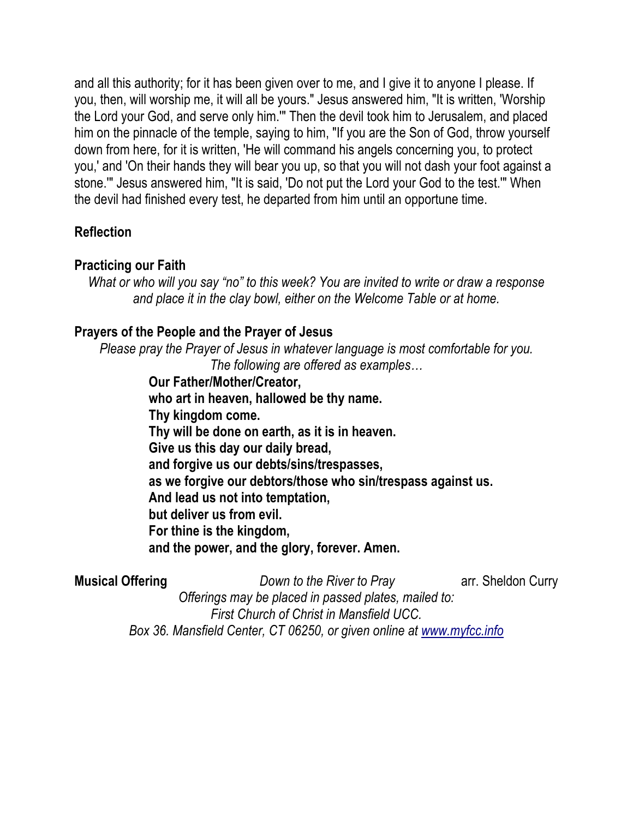and all this authority; for it has been given over to me, and I give it to anyone I please. If you, then, will worship me, it will all be yours." Jesus answered him, "It is written, 'Worship the Lord your God, and serve only him.'" Then the devil took him to Jerusalem, and placed him on the pinnacle of the temple, saying to him, "If you are the Son of God, throw yourself down from here, for it is written, 'He will command his angels concerning you, to protect you,' and 'On their hands they will bear you up, so that you will not dash your foot against a stone.'" Jesus answered him, "It is said, 'Do not put the Lord your God to the test.'" When the devil had finished every test, he departed from him until an opportune time.

## **Reflection**

### **Practicing our Faith**

*What or who will you say "no" to this week? You are invited to write or draw a response and place it in the clay bowl, either on the Welcome Table or at home.*

### **Prayers of the People and the Prayer of Jesus**

*Please pray the Prayer of Jesus in whatever language is most comfortable for you. The following are offered as examples…*

> **Our Father/Mother/Creator, who art in heaven, hallowed be thy name. Thy kingdom come. Thy will be done on earth, as it is in heaven. Give us this day our daily bread, and forgive us our debts/sins/trespasses, as we forgive our debtors/those who sin/trespass against us. And lead us not into temptation, but deliver us from evil. For thine is the kingdom, and the power, and the glory, forever. Amen.**

**Musical Offering** *Down to the River to Pray* **arr.** Sheldon Curry *Offerings may be placed in passed plates, mailed to: First Church of Christ in Mansfield UCC. Box 36. Mansfield Center, CT 06250, or given online at www.myfcc.info*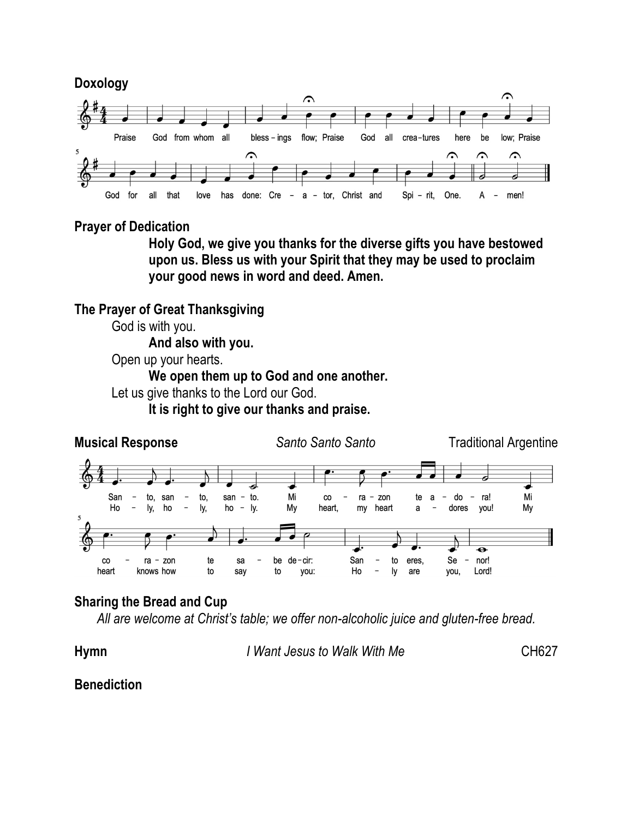

### **Prayer of Dedication**

**Holy God, we give you thanks for the diverse gifts you have bestowed upon us. Bless us with your Spirit that they may be used to proclaim your good news in word and deed. Amen.**

**The Prayer of Great Thanksgiving**

God is with you.

**And also with you.**

Open up your hearts.

**We open them up to God and one another.**

Let us give thanks to the Lord our God.

**It is right to give our thanks and praise.**



## **Sharing the Bread and Cup**

*All are welcome at Christ's table; we offer non-alcoholic juice and gluten-free bread.*

**Hymn** *I Want Jesus to Walk With Me* CH627

### **Benediction**